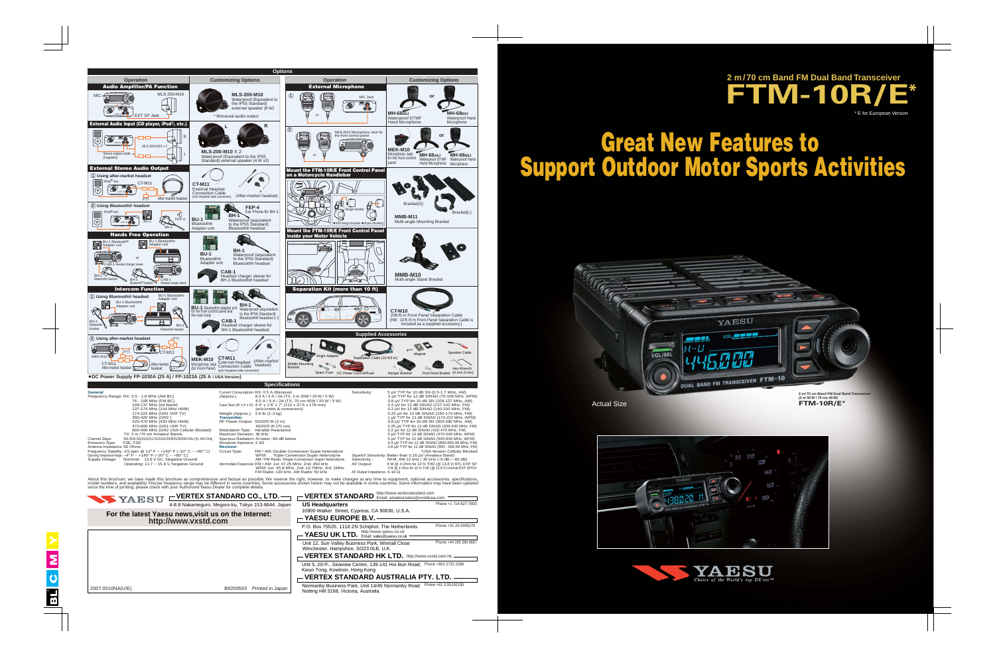**YAESU UK LTD.** http://www.yaesu.co.uk Unit 12, Sun Valley Business Park, Winnall Close Winchester, Hampshire, SO23 0LB, U.K.



**(2 m 50 W / 70 cm 40 W) FTM-10R/E\***



# **Great New Features to Support Outdoor Motor Sports Activities**

Actual Size





2007.0510NA(U/E) B9200563 Printed in Japan



Kwun Tong, Kowloon, Hong Kong

**VERTEX STANDARD HK LTD.** http://www.vxstd.com.hk Unit 5, 20/F., Seaview Centre, 139-141 Hoi Bun Road, Phone +852 2732 2288

**VERTEX STANDARD AUSTRALIA PTY. LTD.**

Normanby Business Park, Unit 14/45 Normanby Road Phone +61 3 95182100 Notting Hill 3168, Victoria, Australia

Phone +44 196 286 6667